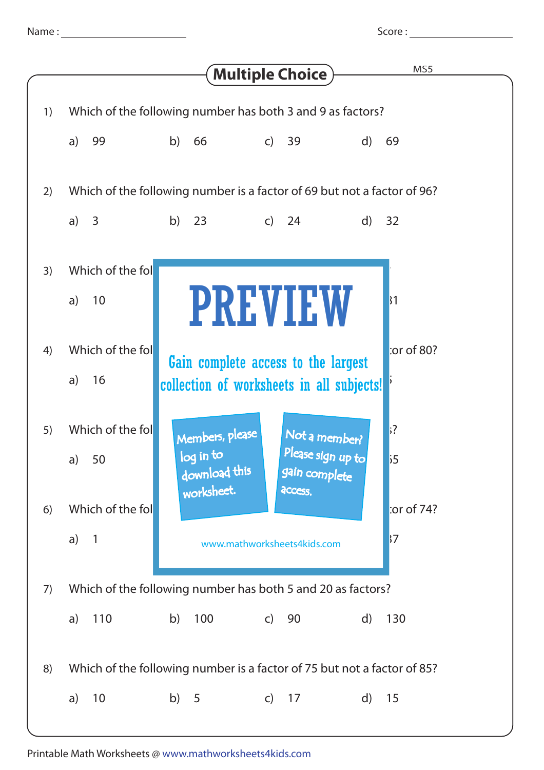